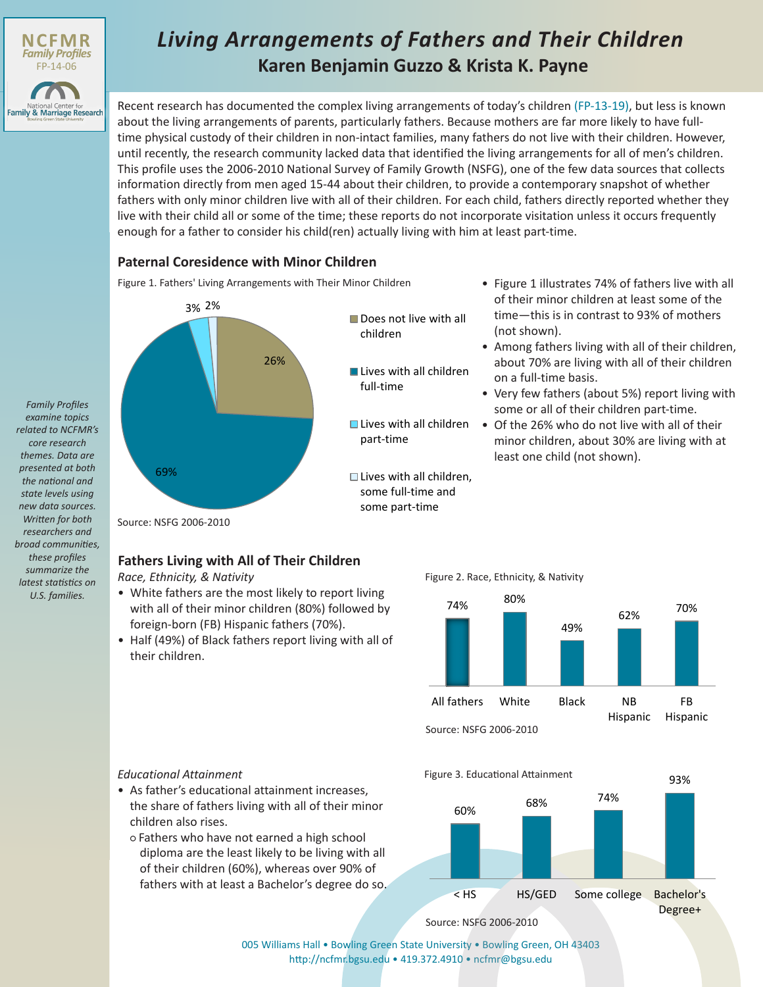

*Family Profiles examine topics related to NCFMR's core research themes. Data are presented at both the national and state levels using new data sources. Written for both researchers and broad communities, these profiles summarize the latest statistics on U.S. families.*

# **Karen Benjamin Guzzo & Krista K. Payne** *Living Arrangements of Fathers and Their Children*

Recent research has documented the complex living arrangements of today's children [\(FP-13-19\),](http://www.bgsu.edu/content/dam/BGSU/college-of-arts-and-sciences/NCFMR/documents/FP/FP-13-19.pdf) but less is known about the living arrangements of parents, particularly fathers. Because mothers are far more likely to have fulltime physical custody of their children in non-intact families, many fathers do not live with their children. However, until recently, the research community lacked data that identified the living arrangements for all of men's children. This profile uses the 2006-2010 National Survey of Family Growth (NSFG), one of the few data sources that collects information directly from men aged 15-44 about their children, to provide a contemporary snapshot of whether fathers with only minor children live with all of their children. For each child, fathers directly reported whether they live with their child all or some of the time; these reports do not incorporate visitation unless it occurs frequently enough for a father to consider his child(ren) actually living with him at least part-time.

### **Paternal Coresidence with Minor Children**

Figure 1. Fathers' Living Arrangements with Their Minor Children • Figure 1 illustrates 74% of fathers live with all



- Does not live with all children
- **Lives with all children** full-time
- **Lives with all children** part-time
- $\Box$  Lives with all children. some full-time and some part-time
- of their minor children at least some of the time—this is in contrast to 93% of mothers (not shown).
- Among fathers living with all of their children, about 70% are living with all of their children on a full-time basis.
- Very few fathers (about 5%) report living with some or all of their children part-time.
- Of the 26% who do not live with all of their minor children, about 30% are living with at least one child (not shown).

Source: NSFG 2006-2010

## **Fathers Living with All of Their Children**

*Race, Ethnicity, & Nativity*

- White fathers are the most likely to report living with all of their minor children (80%) followed by foreign-born (FB) Hispanic fathers (70%).
- Half (49%) of Black fathers report living with all of their children.

Figure 2. Race, Ethnicity, & Nativity



Source: NSFG 2006-2010

Figure 3. Educational Attainment

*Educational Attainment*

• As father's educational attainment increases, the share of fathers living with all of their minor children also rises.

○ Fathers who have not earned a high school diploma are the least likely to be living with all of their children (60%), whereas over 90% of fathers with at least a Bachelor's degree do so.



93%

Source: NSFG 2006-2010

[005 Williams Hall • Bowling Green State University • Bowling Green, OH 43403](http://www.bgsu.edu/ncfmr.html) http://ncfmr.bgsu.edu • 419.372.4910 • ncfmr@bgsu.edu